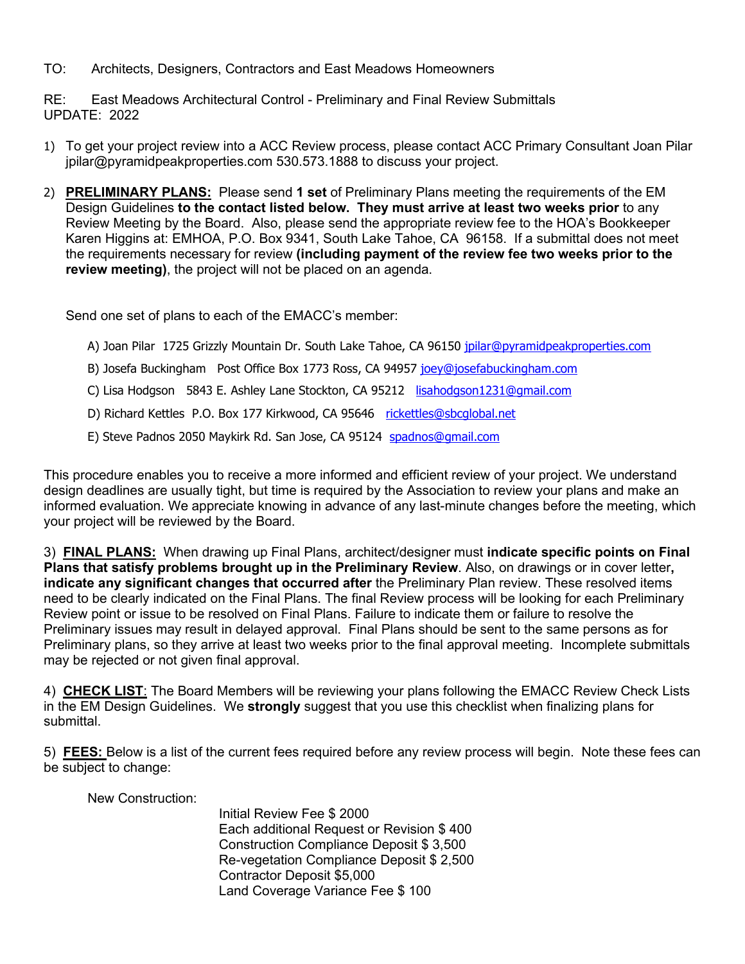TO: Architects, Designers, Contractors and East Meadows Homeowners

RE: East Meadows Architectural Control - Preliminary and Final Review Submittals UPDATE: 2022

- 1) To get your project review into a ACC Review process, please contact ACC Primary Consultant Joan Pilar jpilar@pyramidpeakproperties.com 530.573.1888 to discuss your project.
- 2) **PRELIMINARY PLANS:** Please send **1 set** of Preliminary Plans meeting the requirements of the EM Design Guidelines **to the contact listed below. They must arrive at least two weeks prior** to any Review Meeting by the Board. Also, please send the appropriate review fee to the HOA's Bookkeeper Karen Higgins at: EMHOA, P.O. Box 9341, South Lake Tahoe, CA 96158. If a submittal does not meet the requirements necessary for review **(including payment of the review fee two weeks prior to the review meeting)**, the project will not be placed on an agenda.

Send one set of plans to each of the EMACC's member:

- A) Joan Pilar 1725 Grizzly Mountain Dr. South Lake Tahoe, CA 96150 jpilar@pyramidpeakproperties.com
- B) Josefa Buckingham Post Office Box 1773 Ross, CA 94957 joey@josefabuckingham.com
- C) Lisa Hodgson 5843 E. Ashley Lane Stockton, CA 95212 [lisahodgson1231@gmail.com](mailto:lisahodgson1231@gmail.com)
- D) Richard Kettles P.O. Box 177 Kirkwood, CA 95646 rickettles@sbcglobal.net
- E) Steve Padnos 2050 Maykirk Rd. San Jose, CA 95124 spadnos@gmail.com

This procedure enables you to receive a more informed and efficient review of your project. We understand design deadlines are usually tight, but time is required by the Association to review your plans and make an informed evaluation. We appreciate knowing in advance of any last-minute changes before the meeting, which your project will be reviewed by the Board.

3) **FINAL PLANS:** When drawing up Final Plans, architect/designer must **indicate specific points on Final Plans that satisfy problems brought up in the Preliminary Review**. Also, on drawings or in cover letter**, indicate any significant changes that occurred after** the Preliminary Plan review. These resolved items need to be clearly indicated on the Final Plans. The final Review process will be looking for each Preliminary Review point or issue to be resolved on Final Plans. Failure to indicate them or failure to resolve the Preliminary issues may result in delayed approval. Final Plans should be sent to the same persons as for Preliminary plans, so they arrive at least two weeks prior to the final approval meeting. Incomplete submittals may be rejected or not given final approval.

4) **CHECK LIST**: The Board Members will be reviewing your plans following the EMACC Review Check Lists in the EM Design Guidelines. We **strongly** suggest that you use this checklist when finalizing plans for submittal.

5) **FEES:** Below is a list of the current fees required before any review process will begin. Note these fees can be subject to change:

New Construction:

Initial Review Fee \$ 2000 Each additional Request or Revision \$ 400 Construction Compliance Deposit \$ 3,500 Re-vegetation Compliance Deposit \$ 2,500 Contractor Deposit \$5,000 Land Coverage Variance Fee \$ 100